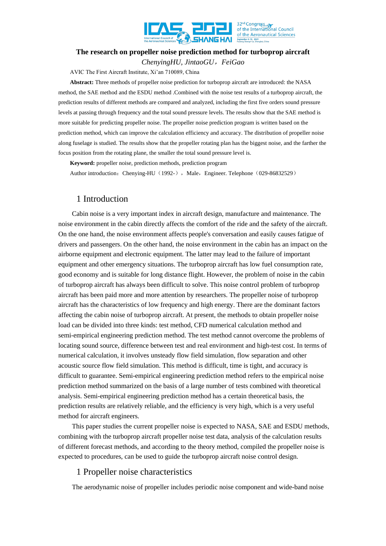

# **The research on propeller noise prediction method for turboprop aircraft**  *ChenyingHU, JintaoGU*,*FeiGao*

AVIC The First Aircraft Institute, Xi'an 710089, China

**Abstract:** Three methods of propeller noise prediction for turboprop aircraft are introduced: the NASA method, the SAE method and the ESDU method .Combined with the noise test results of a turboprop aircraft, the prediction results of different methods are compared and analyzed, including the first five orders sound pressure levels at passing through frequency and the total sound pressure levels. The results show that the SAE method is more suitable for predicting propeller noise. The propeller noise prediction program is written based on the prediction method, which can improve the calculation efficiency and accuracy. The distribution of propeller noise along fuselage is studied. The results show that the propeller rotating plan has the biggest noise, and the farther the focus position from the rotating plane, the smaller the total sound pressure level is.

**Keyword:** propeller noise, prediction methods, prediction program

Author introduction: Chenying-HU (1992-), Male, Engineer. Telephone (029-86832529)

## 1 Introduction

Cabin noise is a very important index in aircraft design, manufacture and maintenance. The noise environment in the cabin directly affects the comfort of the ride and the safety of the aircraft. On the one hand, the noise environment affects people's conversation and easily causes fatigue of drivers and passengers. On the other hand, the noise environment in the cabin has an impact on the airborne equipment and electronic equipment. The latter may lead to the failure of important equipment and other emergency situations. The turboprop aircraft has low fuel consumption rate, good economy and is suitable for long distance flight. However, the problem of noise in the cabin of turboprop aircraft has always been difficult to solve. This noise control problem of turboprop aircraft has been paid more and more attention by researchers. The propeller noise of turboprop aircraft has the characteristics of low frequency and high energy. There are the dominant factors affecting the cabin noise of turboprop aircraft. At present, the methods to obtain propeller noise load can be divided into three kinds: test method, CFD numerical calculation method and semi-empirical engineering prediction method. The test method cannot overcome the problems of locating sound source, difference between test and real environment and high-test cost. In terms of numerical calculation, it involves unsteady flow field simulation, flow separation and other acoustic source flow field simulation. This method is difficult, time is tight, and accuracy is difficult to guarantee. Semi-empirical engineering prediction method refers to the empirical noise prediction method summarized on the basis of a large number of tests combined with theoretical analysis. Semi-empirical engineering prediction method has a certain theoretical basis, the prediction results are relatively reliable, and the efficiency is very high, which is a very useful method for aircraft engineers.

This paper studies the current propeller noise is expected to NASA, SAE and ESDU methods, combining with the turboprop aircraft propeller noise test data, analysis of the calculation results of different forecast methods, and according to the theory method, compiled the propeller noise is expected to procedures, can be used to guide the turboprop aircraft noise control design.

# 1 Propeller noise characteristics

The aerodynamic noise of propeller includes periodic noise component and wide-band noise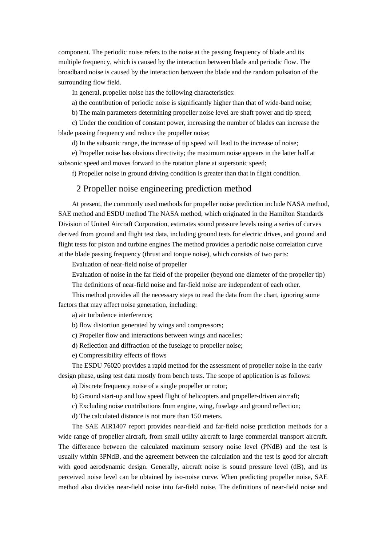component. The periodic noise refers to the noise at the passing frequency of blade and its multiple frequency, which is caused by the interaction between blade and periodic flow. The broadband noise is caused by the interaction between the blade and the random pulsation of the surrounding flow field.

In general, propeller noise has the following characteristics:

a) the contribution of periodic noise is significantly higher than that of wide-band noise;

b) The main parameters determining propeller noise level are shaft power and tip speed;

c) Under the condition of constant power, increasing the number of blades can increase the blade passing frequency and reduce the propeller noise;

d) In the subsonic range, the increase of tip speed will lead to the increase of noise;

e) Propeller noise has obvious directivity; the maximum noise appears in the latter half at subsonic speed and moves forward to the rotation plane at supersonic speed;

f) Propeller noise in ground driving condition is greater than that in flight condition.

#### 2 Propeller noise engineering prediction method

At present, the commonly used methods for propeller noise prediction include NASA method, SAE method and ESDU method The NASA method, which originated in the Hamilton Standards Division of United Aircraft Corporation, estimates sound pressure levels using a series of curves derived from ground and flight test data, including ground tests for electric drives, and ground and flight tests for piston and turbine engines The method provides a periodic noise correlation curve at the blade passing frequency (thrust and torque noise), which consists of two parts:

Evaluation of near-field noise of propeller

Evaluation of noise in the far field of the propeller (beyond one diameter of the propeller tip)

The definitions of near-field noise and far-field noise are independent of each other.

This method provides all the necessary steps to read the data from the chart, ignoring some factors that may affect noise generation, including:

a) air turbulence interference;

- b) flow distortion generated by wings and compressors;
- c) Propeller flow and interactions between wings and nacelles;
- d) Reflection and diffraction of the fuselage to propeller noise;
- e) Compressibility effects of flows

The ESDU 76020 provides a rapid method for the assessment of propeller noise in the early design phase, using test data mostly from bench tests. The scope of application is as follows:

a) Discrete frequency noise of a single propeller or rotor;

b) Ground start-up and low speed flight of helicopters and propeller-driven aircraft;

c) Excluding noise contributions from engine, wing, fuselage and ground reflection;

d) The calculated distance is not more than 150 meters.

The SAE AIR1407 report provides near-field and far-field noise prediction methods for a wide range of propeller aircraft, from small utility aircraft to large commercial transport aircraft. The difference between the calculated maximum sensory noise level (PNdB) and the test is usually within 3PNdB, and the agreement between the calculation and the test is good for aircraft with good aerodynamic design. Generally, aircraft noise is sound pressure level (dB), and its perceived noise level can be obtained by iso-noise curve. When predicting propeller noise, SAE method also divides near-field noise into far-field noise. The definitions of near-field noise and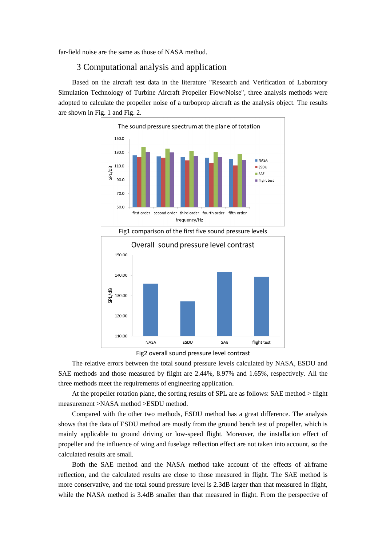far-field noise are the same as those of NASA method.

## 3 Computational analysis and application

Based on the aircraft test data in the literature "Research and Verification of Laboratory Simulation Technology of Turbine Aircraft Propeller Flow/Noise", three analysis methods were adopted to calculate the propeller noise of a turboprop aircraft as the analysis object. The results are shown in Fig. 1 and Fig. 2.







The relative errors between the total sound pressure levels calculated by NASA, ESDU and SAE methods and those measured by flight are 2.44%, 8.97% and 1.65%, respectively. All the three methods meet the requirements of engineering application.

At the propeller rotation plane, the sorting results of SPL are as follows: SAE method > flight measurement >NASA method >ESDU method.

Compared with the other two methods, ESDU method has a great difference. The analysis shows that the data of ESDU method are mostly from the ground bench test of propeller, which is mainly applicable to ground driving or low-speed flight. Moreover, the installation effect of propeller and the influence of wing and fuselage reflection effect are not taken into account, so the calculated results are small.

Both the SAE method and the NASA method take account of the effects of airframe reflection, and the calculated results are close to those measured in flight. The SAE method is more conservative, and the total sound pressure level is 2.3dB larger than that measured in flight, while the NASA method is 3.4dB smaller than that measured in flight. From the perspective of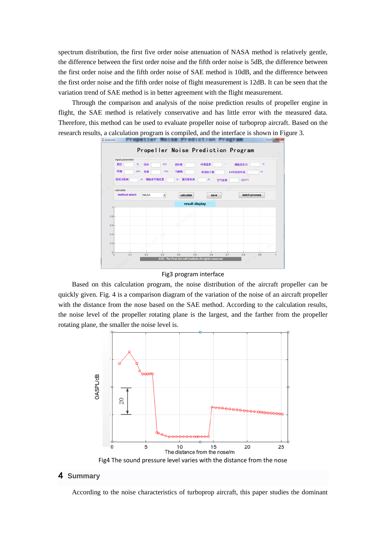spectrum distribution, the first five order noise attenuation of NASA method is relatively gentle, the difference between the first order noise and the fifth order noise is 5dB, the difference between the first order noise and the fifth order noise of SAE method is 10dB, and the difference between the first order noise and the fifth order noise of flight measurement is 12dB. It can be seen that the variation trend of SAE method is in better agreement with the flight measurement.

Through the comparison and analysis of the noise prediction results of propeller engine in flight, the SAE method is relatively conservative and has little error with the measured data. Therefore, this method can be used to evaluate propeller noise of turboprop aircraft. Based on the research results, a calculation program is compiled, and the interface is shown in Figure 3.



Fig3 program interface

Based on this calculation program, the noise distribution of the aircraft propeller can be quickly given. Fig. 4 is a comparison diagram of the variation of the noise of an aircraft propeller with the distance from the nose based on the SAE method. According to the calculation results, the noise level of the propeller rotating plane is the largest, and the farther from the propeller rotating plane, the smaller the noise level is.



## 4 **Summary**

According to the noise characteristics of turboprop aircraft, this paper studies the dominant